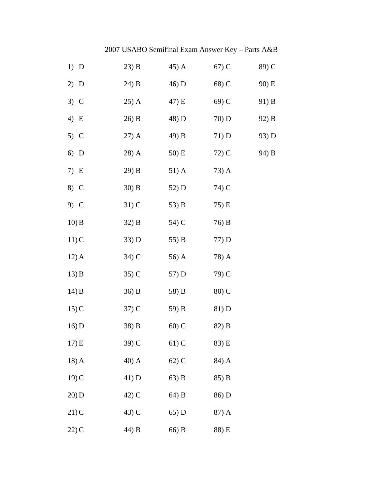|         | 2007 USABO Semifinal Exam Answer Key - Parts A&B |         |       |       |
|---------|--------------------------------------------------|---------|-------|-------|
| $1)$ D  | 23) B                                            | 45) A   | 67) C | 89) C |
| $2)$ D  | 24) B                                            | 46) D   | 68) C | 90) E |
| $3)$ C  | $25)$ A                                          | 47) E   | 69) C | 91) B |
| 4) E    | 26) B                                            | 48) D   | 70) D | 92) B |
| $5)$ C  | $27)$ A                                          | 49) B   | 71) D | 93) D |
| $6)$ D  | 28) A                                            | 50) E   | 72) C | 94) B |
| 7) E    | 29) B                                            | $51)$ A | 73) A |       |
| 8) C    | $30)$ B                                          | 52) D   | 74) C |       |
| 9) C    | $31)$ C                                          | 53) B   | 75) E |       |
| $10)$ B | 32) B                                            | 54) C   | 76) B |       |
| 11)C    | 33) D                                            | 55) B   | 77) D |       |
| $12)$ A | 34) C                                            | 56) A   | 78) A |       |
| 13) B   | 35) C                                            | 57) D   | 79) C |       |
| 14) B   | 36) B                                            | 58) B   | 80) C |       |
| 15)C    | $37)$ C                                          | 59) B   | 81) D |       |
| 16) D   | 38) B                                            | $60)$ C | 82) B |       |
| 17) E   | 39) C                                            | $61)$ C | 83) E |       |
| $18)$ A | 40) A                                            | 62) C   | 84) A |       |
| 19)C    | 41) D                                            | $63)$ B | 85) B |       |
| 20) D   | 42) C                                            | 64) B   | 86) D |       |
| 21)C    | 43) C                                            | 65) D   | 87) A |       |
| $22)$ C | 44) B                                            | 66) B   | 88) E |       |
|         |                                                  |         |       |       |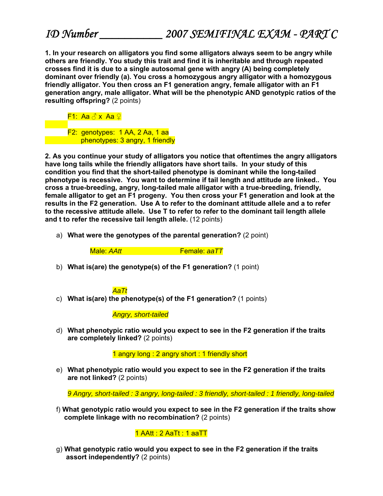**1. In your research on alligators you find some alligators always seem to be angry while others are friendly. You study this trait and find it is inheritable and through repeated crosses find it is due to a single autosomal gene with angry (A) being completely dominant over friendly (a). You cross a homozygous angry alligator with a homozygous friendly alligator. You then cross an F1 generation angry, female alligator with an F1 generation angry, male alligator. What will be the phenotypic AND genotypic ratios of the resulting offspring?** (2 points)

F1: Aa ♂ x Aa ♀

F2: genotypes: 1 AA, 2 Aa, 1 aa **phenotypes: 3 angry, 1 friendly** 

**2. As you continue your study of alligators you notice that oftentimes the angry alligators have long tails while the friendly alligators have short tails. In your study of this condition you find that the short-tailed phenotype is dominant while the long-tailed phenotype is recessive. You want to determine if tail length and attitude are linked.. You cross a true-breeding, angry, long-tailed male alligator with a true-breeding, friendly, female alligator to get an F1 progeny. You then cross your F1 generation and look at the results in the F2 generation. Use A to refer to the dominant attitude allele and a to refer to the recessive attitude allele. Use T to refer to refer to the dominant tail length allele and t to refer the recessive tail length allele.** (12 points)

a) **What were the genotypes of the parental generation?** (2 point)

Male: *AAtt* Female: *aaTT*

b) **What is(are) the genotype(s) of the F1 generation?** (1 point)

## *AaTt*

c) **What is(are) the phenotype(s) of the F1 generation?** (1 points)

 *Angry, short-tailed* 

d) **What phenotypic ratio would you expect to see in the F2 generation if the traits are completely linked?** (2 points)

1 angry long : 2 angry short : 1 friendly short

e) **What phenotypic ratio would you expect to see in the F2 generation if the traits are not linked?** (2 points)

*9 Angry, short-tailed : 3 angry, long-tailed : 3 friendly, short-tailed : 1 friendly, long-tailed* 

f) **What genotypic ratio would you expect to see in the F2 generation if the traits show complete linkage with no recombination?** (2 points)

## 1 AAtt : 2 AaTt : 1 aaTT

 g) **What genotypic ratio would you expect to see in the F2 generation if the traits assort independently?** (2 points)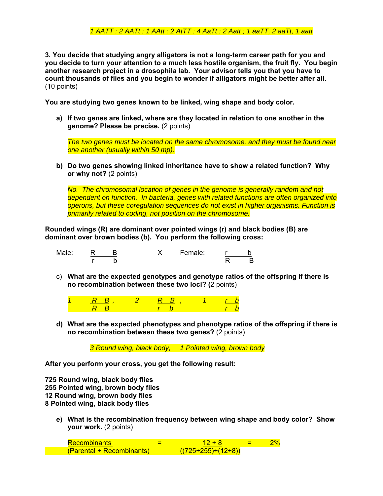## *1 AATT : 2 AATt : 1 AAtt : 2 AtTT : 4 AaTt : 2 Aatt ; 1 aaTT, 2 aaTt, 1 aatt*

**3. You decide that studying angry alligators is not a long-term career path for you and you decide to turn your attention to a much less hostile organism, the fruit fly. You begin another research project in a drosophila lab. Your advisor tells you that you have to count thousands of flies and you begin to wonder if alligators might be better after all.**  (10 points)

**You are studying two genes known to be linked, wing shape and body color.** 

**a) If two genes are linked, where are they located in relation to one another in the genome? Please be precise.** (2 points)

*The two genes must be located on the same chromosome, and they must be found near one another (usually within 50 mp).* 

**b) Do two genes showing linked inheritance have to show a related function? Why or why not?** (2 points)

*No. The chromosomal location of genes in the genome is generally random and not dependent on function. In bacteria, genes with related functions are often organized into operons, but these coregulation sequences do not exist in higher organisms. Function is primarily related to coding, not position on the chromosome.* 

**Rounded wings (R) are dominant over pointed wings (r) and black bodies (B) are dominant over brown bodies (b). You perform the following cross:**

| Male: |   | Female: |  |
|-------|---|---------|--|
|       | ຼ |         |  |

c) **What are the expected genotypes and genotype ratios of the offspring if there is no recombination between these two loci? (**2 points)

|          | $R$ $R$ | <b>RR</b> |  |  |
|----------|---------|-----------|--|--|
| <b>P</b> |         |           |  |  |

**d) What are the expected phenotypes and phenotype ratios of the offspring if there is no recombination between these two genes?** (2 points)

*3 Round wing, black body, 1 Pointed wing, brown body* 

**After you perform your cross, you get the following result:** 

**725 Round wing, black body flies 255 Pointed wing, brown body flies 12 Round wing, brown body flies 8 Pointed wing, black body flies** 

**e) What is the recombination frequency between wing shape and body color? Show your work.** (2 points)

Recombinants  $=$   $12 + 8$   $=$   $2\%$  $(Parental + Recombinants)$  ((725+255)+(12+8))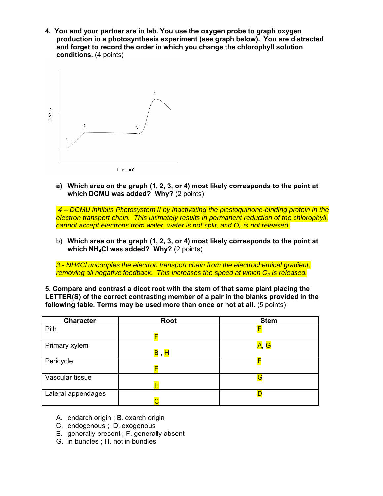**4. You and your partner are in lab. You use the oxygen probe to graph oxygen production in a photosynthesis experiment (see graph below). You are distracted and forget to record the order in which you change the chlorophyll solution conditions.** (4 points)



**a) Which area on the graph (1, 2, 3, or 4) most likely corresponds to the point at which DCMU was added? Why?** (2 points)

 *4 – DCMU inhibits Photosystem II by inactivating the plastoquinone-binding protein in the electron transport chain. This ultimately results in permanent reduction of the chlorophyll, cannot accept electrons from water, water is not split, and O<sub>2</sub> is not released.* 

b) **Which area on the graph (1, 2, 3, or 4) most likely corresponds to the point at which NH4Cl was added? Why?** (2 points)

*3 - NH4Cl uncouples the electron transport chain from the electrochemical gradient, removing all negative feedback. This increases the speed at which O<sub>2</sub> is released.* 

**5. Compare and contrast a dicot root with the stem of that same plant placing the LETTER(S) of the correct contrasting member of a pair in the blanks provided in the following table. Terms may be used more than once or not at all.** (5 points)

| <b>Character</b>   | <b>Root</b>                                       | <b>Stem</b> |
|--------------------|---------------------------------------------------|-------------|
| Pith               |                                                   |             |
|                    | Е                                                 |             |
| Primary xylem      |                                                   | A, G        |
|                    | $\overline{\mathsf{B}}$ , $\overline{\mathsf{H}}$ |             |
| Pericycle          |                                                   | F           |
|                    | Е                                                 |             |
| Vascular tissue    |                                                   | G           |
|                    |                                                   |             |
| Lateral appendages |                                                   |             |
|                    |                                                   |             |

- A. endarch origin ; B. exarch origin
- C. endogenous ; D. exogenous
- E. generally present ; F. generally absent
- G. in bundles ; H. not in bundles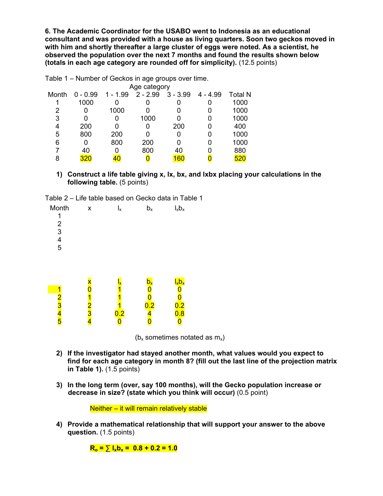**6. The Academic Coordinator for the USABO went to Indonesia as an educational consultant and was provided with a house as living quarters. Soon two geckos moved in with him and shortly thereafter a large cluster of eggs were noted. As a scientist, he observed the population over the next 7 months and found the results shown below (totals in each age category are rounded off for simplicity).** (12.5 points)

| rabic T – namber or Ocenos in age groups over time. |            |            |            |            |            |                |  |  |  |
|-----------------------------------------------------|------------|------------|------------|------------|------------|----------------|--|--|--|
| Age category                                        |            |            |            |            |            |                |  |  |  |
| Month                                               | $0 - 0.99$ | $1 - 1.99$ | $2 - 2.99$ | $3 - 3.99$ | $4 - 4.99$ | <b>Total N</b> |  |  |  |
|                                                     | 1000       |            |            | 0          |            | 1000           |  |  |  |
| 2                                                   | 0          | 1000       |            | 0          |            | 1000           |  |  |  |
| 3                                                   | ი          |            | 1000       | 0          |            | 1000           |  |  |  |
| 4                                                   | 200        |            |            | 200        |            | 400            |  |  |  |
| 5                                                   | 800        | 200        |            | 0          |            | 1000           |  |  |  |
| 6                                                   | 0          | 800        | 200        | 0          |            | 1000           |  |  |  |
|                                                     | 40         |            | 800        | 40         |            | 880            |  |  |  |
| 8                                                   | 320        | 40         |            | 160        |            | 520            |  |  |  |
|                                                     |            |            |            |            |            |                |  |  |  |

Table 1 – Number of Geckos in age groups over time.

**1) Construct a life table giving x, lx, bx, and lxbx placing your calculations in the following table.** (5 points)

| Table 2 – Life table based on Gecko data in Table 1 |
|-----------------------------------------------------|
|-----------------------------------------------------|

| Month<br>1<br>$\frac{2}{3}$<br>$\frac{4}{5}$ | X      | $I_x$                            | $b_x$                                          | $I_xb_x$                      |  |
|----------------------------------------------|--------|----------------------------------|------------------------------------------------|-------------------------------|--|
| 1<br>$\frac{2}{3}$ 4<br>$\frac{4}{5}$        | 2<br>3 | $\mathsf{l}_{\mathsf{x}}$<br>0.2 | $\mathsf{b}_{\mathsf{x}}$<br>0.2<br>$\sqrt{L}$ | $I_xb_x$<br>$\frac{0.2}{0.8}$ |  |

( $b_x$  sometimes notated as  $m_x$ )

- **2) If the investigator had stayed another month, what values would you expect to find for each age category in month 8? (fill out the last line of the projection matrix in Table 1).** (1.5 points)
- **3) In the long term (over, say 100 months), will the Gecko population increase or decrease in size? (state which you think will occur)** (0.5 point)

Neither – it will remain relatively stable

**4) Provide a mathematical relationship that will support your answer to the above question.** (1.5 points)

 $R_0 = \sum l_x b_x = 0.8 + 0.2 = 1.0$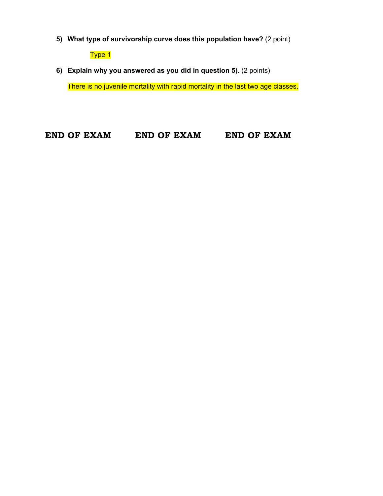**5) What type of survivorship curve does this population have?** (2 point)

Type 1

**6) Explain why you answered as you did in question 5).** (2 points)

There is no juvenile mortality with rapid mortality in the last two age classes.

**END OF EXAM END OF EXAM END OF EXAM**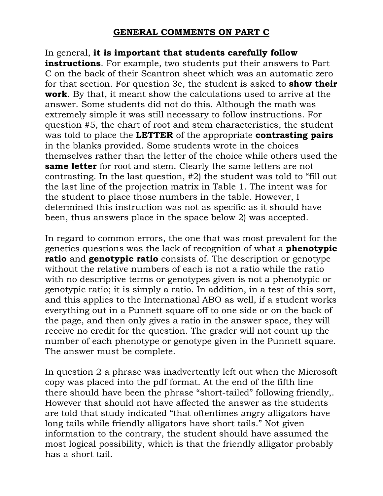## **GENERAL COMMENTS ON PART C**

In general, **it is important that students carefully follow instructions**. For example, two students put their answers to Part C on the back of their Scantron sheet which was an automatic zero for that section. For question 3e, the student is asked to **show their work**. By that, it meant show the calculations used to arrive at the answer. Some students did not do this. Although the math was extremely simple it was still necessary to follow instructions. For question #5, the chart of root and stem characteristics, the student was told to place the **LETTER** of the appropriate **contrasting pairs** in the blanks provided. Some students wrote in the choices themselves rather than the letter of the choice while others used the **same letter** for root and stem. Clearly the same letters are not contrasting. In the last question, #2) the student was told to "fill out the last line of the projection matrix in Table 1. The intent was for the student to place those numbers in the table. However, I determined this instruction was not as specific as it should have been, thus answers place in the space below 2) was accepted.

In regard to common errors, the one that was most prevalent for the genetics questions was the lack of recognition of what a **phenotypic ratio** and **genotypic ratio** consists of. The description or genotype without the relative numbers of each is not a ratio while the ratio with no descriptive terms or genotypes given is not a phenotypic or genotypic ratio; it is simply a ratio. In addition, in a test of this sort, and this applies to the International ABO as well, if a student works everything out in a Punnett square off to one side or on the back of the page, and then only gives a ratio in the answer space, they will receive no credit for the question. The grader will not count up the number of each phenotype or genotype given in the Punnett square. The answer must be complete.

In question 2 a phrase was inadvertently left out when the Microsoft copy was placed into the pdf format. At the end of the fifth line there should have been the phrase "short-tailed" following friendly,. However that should not have affected the answer as the students are told that study indicated "that oftentimes angry alligators have long tails while friendly alligators have short tails." Not given information to the contrary, the student should have assumed the most logical possibility, which is that the friendly alligator probably has a short tail.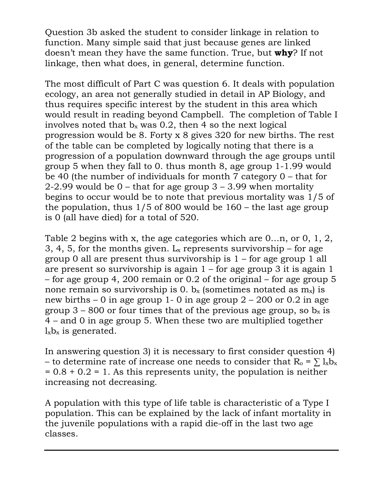Question 3b asked the student to consider linkage in relation to function. Many simple said that just because genes are linked doesn't mean they have the same function. True, but **why**? If not linkage, then what does, in general, determine function.

The most difficult of Part C was question 6. It deals with population ecology, an area not generally studied in detail in AP Biology, and thus requires specific interest by the student in this area which would result in reading beyond Campbell. The completion of Table I involves noted that  $b_x$  was 0.2, then 4 so the next logical progression would be 8. Forty x 8 gives 320 for new births. The rest of the table can be completed by logically noting that there is a progression of a population downward through the age groups until group 5 when they fall to 0. thus month 8, age group 1-1.99 would be 40 (the number of individuals for month 7 category 0 – that for 2-2.99 would be  $0$  – that for age group  $3 - 3.99$  when mortality begins to occur would be to note that previous mortality was 1/5 of the population, thus  $1/5$  of 800 would be  $160$  – the last age group is 0 (all have died) for a total of 520.

Table 2 begins with x, the age categories which are 0…n, or 0, 1, 2, 3, 4, 5, for the months given.  $L_x$  represents survivorship – for age group 0 all are present thus survivorship is  $1$  – for age group 1 all are present so survivorship is again  $1$  – for age group 3 it is again 1 – for age group 4, 200 remain or 0.2 of the original – for age group 5 none remain so survivorship is 0.  $b_x$  (sometimes notated as  $m_x$ ) is new births  $-0$  in age group 1-0 in age group  $2 - 200$  or 0.2 in age group 3 – 800 or four times that of the previous age group, so  $b_x$  is 4 – and 0 in age group 5. When these two are multiplied together  $l_xb_x$  is generated.

In answering question 3) it is necessary to first consider question 4) – to determine rate of increase one needs to consider that  $R_0 = \sum l_x b_x$  $= 0.8 + 0.2 = 1$ . As this represents unity, the population is neither increasing not decreasing.

A population with this type of life table is characteristic of a Type I population. This can be explained by the lack of infant mortality in the juvenile populations with a rapid die-off in the last two age classes.